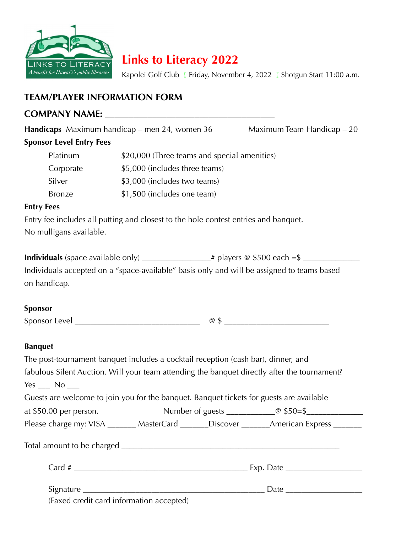

**Links to Literacy 2022** 

Kapolei Golf Club *I* Friday, November 4, 2022 *I* Shotgun Start 11:00 a.m.

# **TEAM/PLAYER INFORMATION FORM**

# **COMPANY NAME: \_\_\_\_\_\_\_\_\_\_\_\_\_\_\_\_\_\_\_\_\_\_\_\_\_\_\_\_\_\_\_\_\_\_\_\_**

**Handicaps** Maximum handicap – men 24, women 36 Maximum Team Handicap – 20

## **Sponsor Level Entry Fees**

| Platinum      | \$20,000 (Three teams and special amenities) |
|---------------|----------------------------------------------|
| Corporate     | \$5,000 (includes three teams)               |
| Silver        | \$3,000 (includes two teams)                 |
| <b>Bronze</b> | \$1,500 (includes one team)                  |

#### **Entry Fees**

Entry fee includes all putting and closest to the hole contest entries and banquet. No mulligans available.

| <b>Individuals</b> (space available only)                                                  | $\pm$ # players @ \$500 each =\$ |
|--------------------------------------------------------------------------------------------|----------------------------------|
| Individuals accepted on a "space-available" basis only and will be assigned to teams based |                                  |
| on handicap.                                                                               |                                  |

#### **Sponsor**

Sponsor Level \_\_\_\_\_\_\_\_\_\_\_\_\_\_\_\_\_\_\_\_\_\_\_\_\_\_\_\_\_\_\_ @ \$ \_\_\_\_\_\_\_\_\_\_\_\_\_\_\_\_\_\_\_\_\_\_\_\_\_\_

#### **Banquet**

| The post-tournament banquet includes a cocktail reception (cash bar), dinner, and            |                                                                                            |
|----------------------------------------------------------------------------------------------|--------------------------------------------------------------------------------------------|
| fabulous Silent Auction. Will your team attending the banquet directly after the tournament? |                                                                                            |
| $Yes \_\_ No \_\_$                                                                           |                                                                                            |
| Guests are welcome to join you for the banquet. Banquet tickets for guests are available     |                                                                                            |
|                                                                                              |                                                                                            |
|                                                                                              | Please charge my: VISA _______ MasterCard _______Discover ________American Express _______ |
|                                                                                              |                                                                                            |
|                                                                                              |                                                                                            |
|                                                                                              |                                                                                            |
| (Faxed credit card information accepted)                                                     |                                                                                            |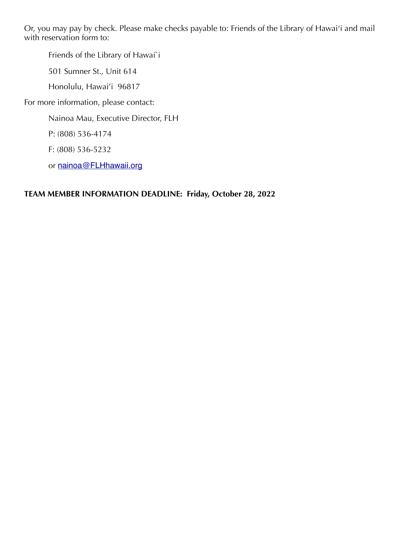Or, you may pay by check. Please make checks payable to: Friends of the Library of Hawai'i and mail with reservation form to:

Friends of the Library of Hawai`i

501 Sumner St., Unit 614

Honolulu, Hawai'i 96817

For more information, please contact:

Nainoa Mau, Executive Director, FLH

P: (808) 536-4174

F: (808) 536-5232

or [nainoa@FLHhawaii.org](mailto:nainoa@FLHhawaii.org)

### **TEAM MEMBER INFORMATION DEADLINE: Friday, October 28, 2022**